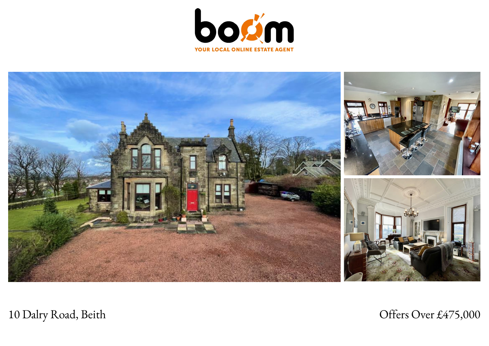



10 Dalry Road, Beith

Offers Over £475,000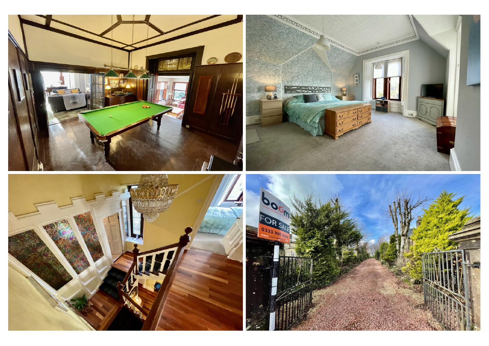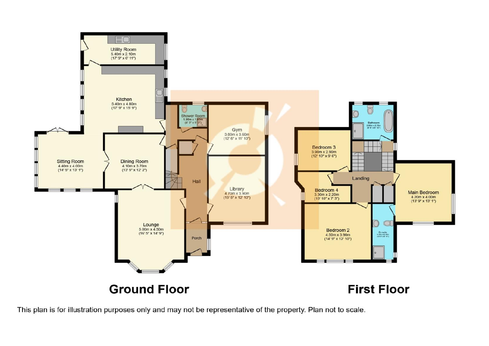

This plan is for illustration purposes only and may not be representative of the property. Plan not to scale.